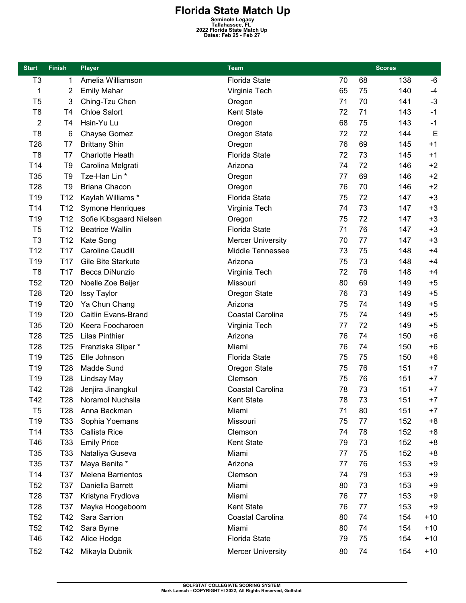**Florida State Match Up**<br>
Seminole Legacy<br>
Tallahassee, FL<br>
2022 Florida State Match Up<br>
Dates: Feb 25 - Feb 27

| <b>Start</b>     | <b>Finish</b>   | <b>Player</b>           | <b>Team</b>              |    | <b>Scores</b> |     |       |
|------------------|-----------------|-------------------------|--------------------------|----|---------------|-----|-------|
| T <sub>3</sub>   | 1               | Amelia Williamson       | <b>Florida State</b>     | 70 | 68            | 138 | $-6$  |
| 1                | 2               | <b>Emily Mahar</b>      | Virginia Tech            | 65 | 75            | 140 | $-4$  |
| T <sub>5</sub>   | 3               | Ching-Tzu Chen          | Oregon                   | 71 | 70            | 141 | $-3$  |
| T <sub>8</sub>   | T <sub>4</sub>  | <b>Chloe Salort</b>     | Kent State               | 72 | 71            | 143 | $-1$  |
| $\boldsymbol{2}$ | T4              | Hsin-Yu Lu              | Oregon                   | 68 | 75            | 143 | $-1$  |
| T <sub>8</sub>   | 6               | Chayse Gomez            | Oregon State             | 72 | 72            | 144 | E     |
| T <sub>28</sub>  | T7              | <b>Brittany Shin</b>    | Oregon                   | 76 | 69            | 145 | $+1$  |
| T <sub>8</sub>   | T7              | <b>Charlotte Heath</b>  | <b>Florida State</b>     | 72 | 73            | 145 | $+1$  |
| T14              | T <sub>9</sub>  | Carolina Melgrati       | Arizona                  | 74 | 72            | 146 | $+2$  |
| T35              | T <sub>9</sub>  | Tze-Han Lin *           | Oregon                   | 77 | 69            | 146 | $+2$  |
| T28              | T <sub>9</sub>  | <b>Briana Chacon</b>    | Oregon                   | 76 | 70            | 146 | $+2$  |
| T <sub>19</sub>  | T <sub>12</sub> | Kaylah Williams *       | <b>Florida State</b>     | 75 | 72            | 147 | $+3$  |
| T14              | T <sub>12</sub> | Symone Henriques        | Virginia Tech            | 74 | 73            | 147 | $+3$  |
| T19              | T <sub>12</sub> | Sofie Kibsgaard Nielsen | Oregon                   | 75 | 72            | 147 | $+3$  |
| T <sub>5</sub>   | T <sub>12</sub> | <b>Beatrice Wallin</b>  | <b>Florida State</b>     | 71 | 76            | 147 | $+3$  |
| T <sub>3</sub>   | T <sub>12</sub> | Kate Song               | <b>Mercer University</b> | 70 | 77            | 147 | $+3$  |
| T12              | T <sub>17</sub> | <b>Caroline Caudill</b> | Middle Tennessee         | 73 | 75            | 148 | $+4$  |
| T19              | T <sub>17</sub> | Gile Bite Starkute      | Arizona                  | 75 | 73            | 148 | $+4$  |
| T <sub>8</sub>   | T <sub>17</sub> | Becca DiNunzio          | Virginia Tech            | 72 | 76            | 148 | $+4$  |
| <b>T52</b>       | T <sub>20</sub> | Noelle Zoe Beijer       | Missouri                 | 80 | 69            | 149 | $+5$  |
| T <sub>28</sub>  | T <sub>20</sub> | <b>Issy Taylor</b>      | Oregon State             | 76 | 73            | 149 | $+5$  |
| T <sub>19</sub>  | T20             | Ya Chun Chang           | Arizona                  | 75 | 74            | 149 | $+5$  |
| T19              | T20             | Caitlin Evans-Brand     | Coastal Carolina         | 75 | 74            | 149 | $+5$  |
| T35              | T20             | Keera Foocharoen        | Virginia Tech            | 77 | 72            | 149 | $+5$  |
| T <sub>28</sub>  | T25             | <b>Lilas Pinthier</b>   | Arizona                  | 76 | 74            | 150 | $+6$  |
| T28              | T <sub>25</sub> | Franziska Sliper *      | Miami                    | 76 | 74            | 150 | $+6$  |
| T19              | T <sub>25</sub> | Elle Johnson            | <b>Florida State</b>     | 75 | 75            | 150 | $+6$  |
| T19              | T28             | Madde Sund              | Oregon State             | 75 | 76            | 151 | $+7$  |
| T19              | T <sub>28</sub> | Lindsay May             | Clemson                  | 75 | 76            | 151 | $+7$  |
| T42              | T <sub>28</sub> | Jenjira Jinangkul       | Coastal Carolina         | 78 | 73            | 151 | $+7$  |
| T42              | T28             | Noramol Nuchsila        | Kent State               | 78 | 73            | 151 | $+7$  |
| T <sub>5</sub>   | T28             | Anna Backman            | Miami                    | 71 | 80            | 151 | $+7$  |
| T19              | T33             | Sophia Yoemans          | Missouri                 | 75 | 77            | 152 | $+8$  |
| T14              | T33             | Callista Rice           | Clemson                  | 74 | 78            | 152 | $+8$  |
| T46              | T33             | <b>Emily Price</b>      | Kent State               | 79 | 73            | 152 | $+8$  |
| T35              | T33             | Nataliya Guseva         | Miami                    | 77 | 75            | 152 | $+8$  |
| T35              | T37             | Maya Benita *           | Arizona                  | 77 | 76            | 153 | $+9$  |
| T14              | T37             | Melena Barrientos       | Clemson                  | 74 | 79            | 153 | $+9$  |
| <b>T52</b>       | <b>T37</b>      | Daniella Barrett        | Miami                    | 80 | 73            | 153 | $+9$  |
| T <sub>28</sub>  | T37             | Kristyna Frydlova       | Miami                    | 76 | 77            | 153 | $+9$  |
| T <sub>28</sub>  | T37             | Mayka Hoogeboom         | <b>Kent State</b>        | 76 | 77            | 153 | $+9$  |
| <b>T52</b>       | T42             | Sara Sarrion            | Coastal Carolina         | 80 | 74            | 154 | $+10$ |
| <b>T52</b>       | T42             | Sara Byrne              | Miami                    | 80 | 74            | 154 | $+10$ |
| T46              | T42             | Alice Hodge             | <b>Florida State</b>     | 79 | 75            | 154 | $+10$ |
|                  |                 |                         |                          |    |               |     |       |
| <b>T52</b>       | T42             | Mikayla Dubnik          | <b>Mercer University</b> | 80 | 74            | 154 | $+10$ |